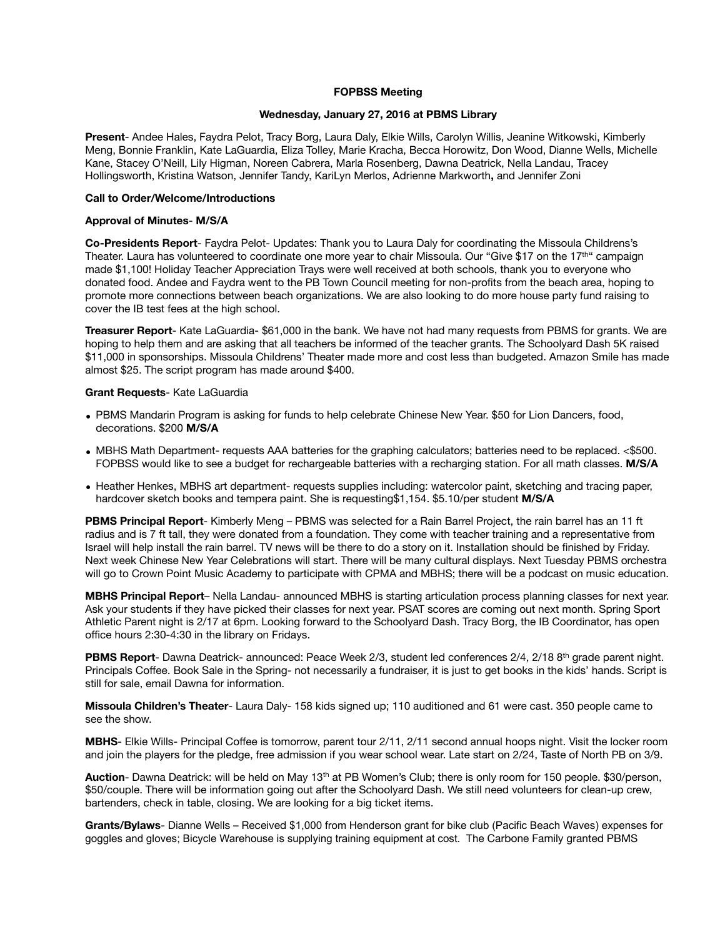# **FOPBSS Meeting**

## **Wednesday, January 27, 2016 at PBMS Library**

**Present**- Andee Hales, Faydra Pelot, Tracy Borg, Laura Daly, Elkie Wills, Carolyn Willis, Jeanine Witkowski, Kimberly Meng, Bonnie Franklin, Kate LaGuardia, Eliza Tolley, Marie Kracha, Becca Horowitz, Don Wood, Dianne Wells, Michelle Kane, Stacey O'Neill, Lily Higman, Noreen Cabrera, Marla Rosenberg, Dawna Deatrick, Nella Landau, Tracey Hollingsworth, Kristina Watson, Jennifer Tandy, KariLyn Merlos, Adrienne Markworth**,** and Jennifer Zoni

### **Call to Order/Welcome/Introductions**

### **Approval of Minutes**- **M/S/A**

**Co-Presidents Report**- Faydra Pelot- Updates: Thank you to Laura Daly for coordinating the Missoula Childrens's Theater. Laura has volunteered to coordinate one more year to chair Missoula. Our "Give \$17 on the 17<sup>th"</sup> campaign made \$1,100! Holiday Teacher Appreciation Trays were well received at both schools, thank you to everyone who donated food. Andee and Faydra went to the PB Town Council meeting for non-profits from the beach area, hoping to promote more connections between beach organizations. We are also looking to do more house party fund raising to cover the IB test fees at the high school.

**Treasurer Report**- Kate LaGuardia- \$61,000 in the bank. We have not had many requests from PBMS for grants. We are hoping to help them and are asking that all teachers be informed of the teacher grants. The Schoolyard Dash 5K raised \$11,000 in sponsorships. Missoula Childrens' Theater made more and cost less than budgeted. Amazon Smile has made almost \$25. The script program has made around \$400.

#### **Grant Requests**- Kate LaGuardia

- PBMS Mandarin Program is asking for funds to help celebrate Chinese New Year. \$50 for Lion Dancers, food, decorations. \$200 **M/S/A**
- MBHS Math Department- requests AAA batteries for the graphing calculators; batteries need to be replaced. <\$500. FOPBSS would like to see a budget for rechargeable batteries with a recharging station. For all math classes. **M/S/A**
- Heather Henkes, MBHS art department- requests supplies including: watercolor paint, sketching and tracing paper, hardcover sketch books and tempera paint. She is requesting\$1,154. \$5.10/per student **M/S/A**

**PBMS Principal Report**- Kimberly Meng – PBMS was selected for a Rain Barrel Project, the rain barrel has an 11 ft radius and is 7 ft tall, they were donated from a foundation. They come with teacher training and a representative from Israel will help install the rain barrel. TV news will be there to do a story on it. Installation should be finished by Friday. Next week Chinese New Year Celebrations will start. There will be many cultural displays. Next Tuesday PBMS orchestra will go to Crown Point Music Academy to participate with CPMA and MBHS; there will be a podcast on music education.

**MBHS Principal Report**– Nella Landau- announced MBHS is starting articulation process planning classes for next year. Ask your students if they have picked their classes for next year. PSAT scores are coming out next month. Spring Sport Athletic Parent night is 2/17 at 6pm. Looking forward to the Schoolyard Dash. Tracy Borg, the IB Coordinator, has open office hours 2:30-4:30 in the library on Fridays.

PBMS Report- Dawna Deatrick- announced: Peace Week 2/3, student led conferences 2/4, 2/18 8<sup>th</sup> grade parent night. Principals Coffee. Book Sale in the Spring- not necessarily a fundraiser, it is just to get books in the kids' hands. Script is still for sale, email Dawna for information.

**Missoula Children's Theater**- Laura Daly- 158 kids signed up; 110 auditioned and 61 were cast. 350 people came to see the show.

**MBHS**- Elkie Wills- Principal Coffee is tomorrow, parent tour 2/11, 2/11 second annual hoops night. Visit the locker room and join the players for the pledge, free admission if you wear school wear. Late start on 2/24, Taste of North PB on 3/9.

**Auction**- Dawna Deatrick: will be held on May 13<sup>th</sup> at PB Women's Club; there is only room for 150 people. \$30/person, \$50/couple. There will be information going out after the Schoolyard Dash. We still need volunteers for clean-up crew, bartenders, check in table, closing. We are looking for a big ticket items.

**Grants/Bylaws**- Dianne Wells – Received \$1,000 from Henderson grant for bike club (Pacific Beach Waves) expenses for goggles and gloves; Bicycle Warehouse is supplying training equipment at cost. The Carbone Family granted PBMS